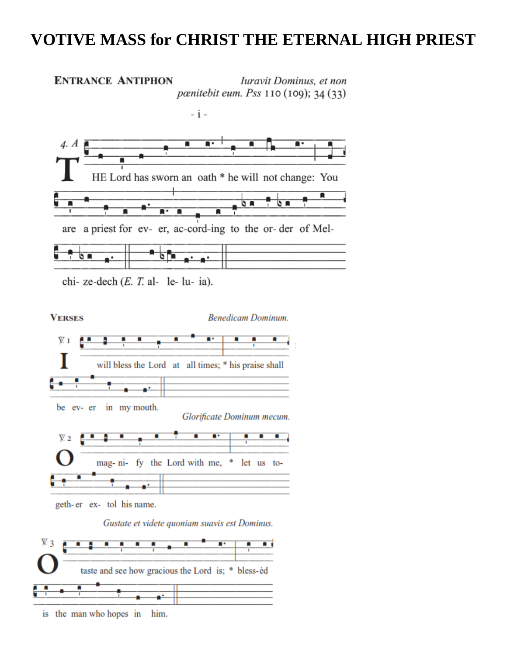## **VOTIVE MASS for CHRIST THE ETERNAL HIGH PRIEST**





is the man who hopes in him.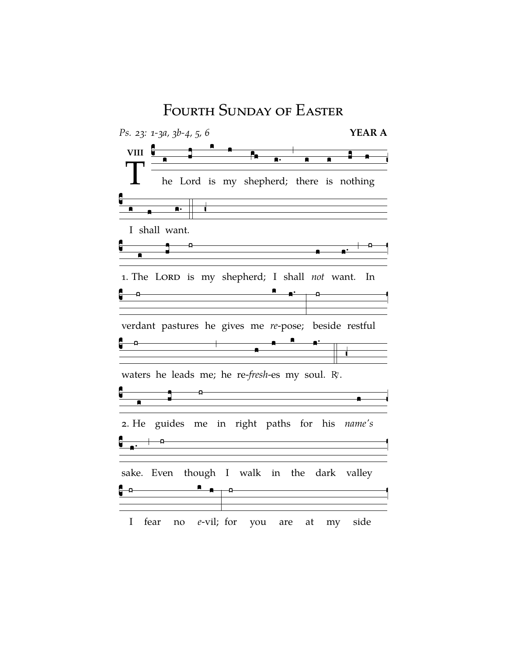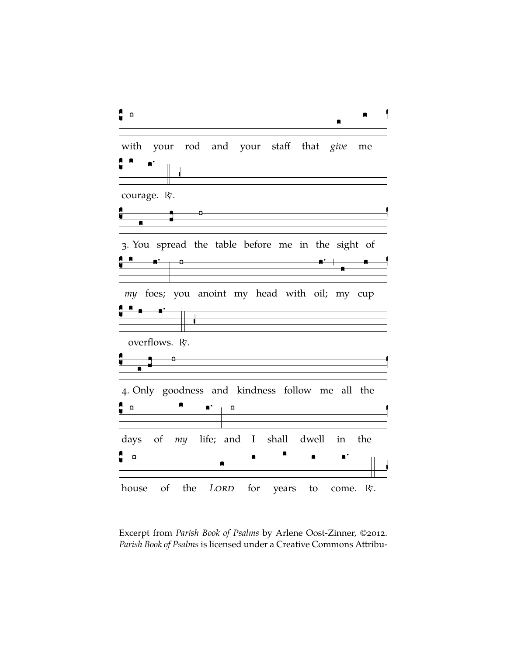

Excerpt from *Parish Book of Psalms* by Arlene Oost-Zinner, ©2012. *Parish Book of Psalms* is licensed under a Creative Commons Attribu-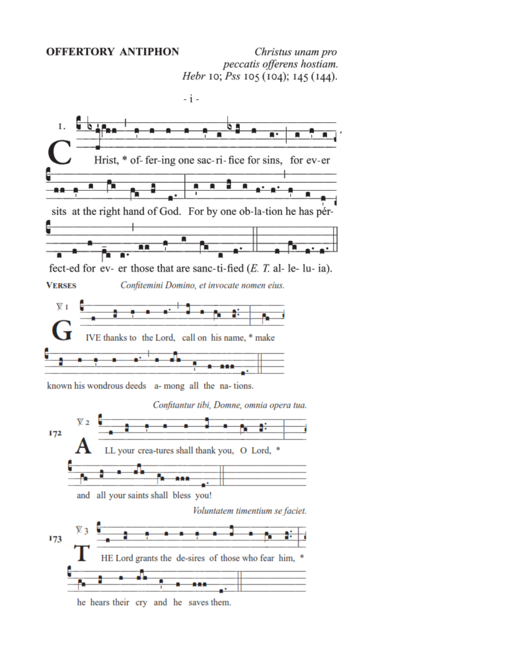## **OFFERTORY ANTIPHON**

Christus unam pro peccatis offerens hostiam. Hebr 10; Pss 105 (104); 145 (144).



he hears their cry and he saves them.